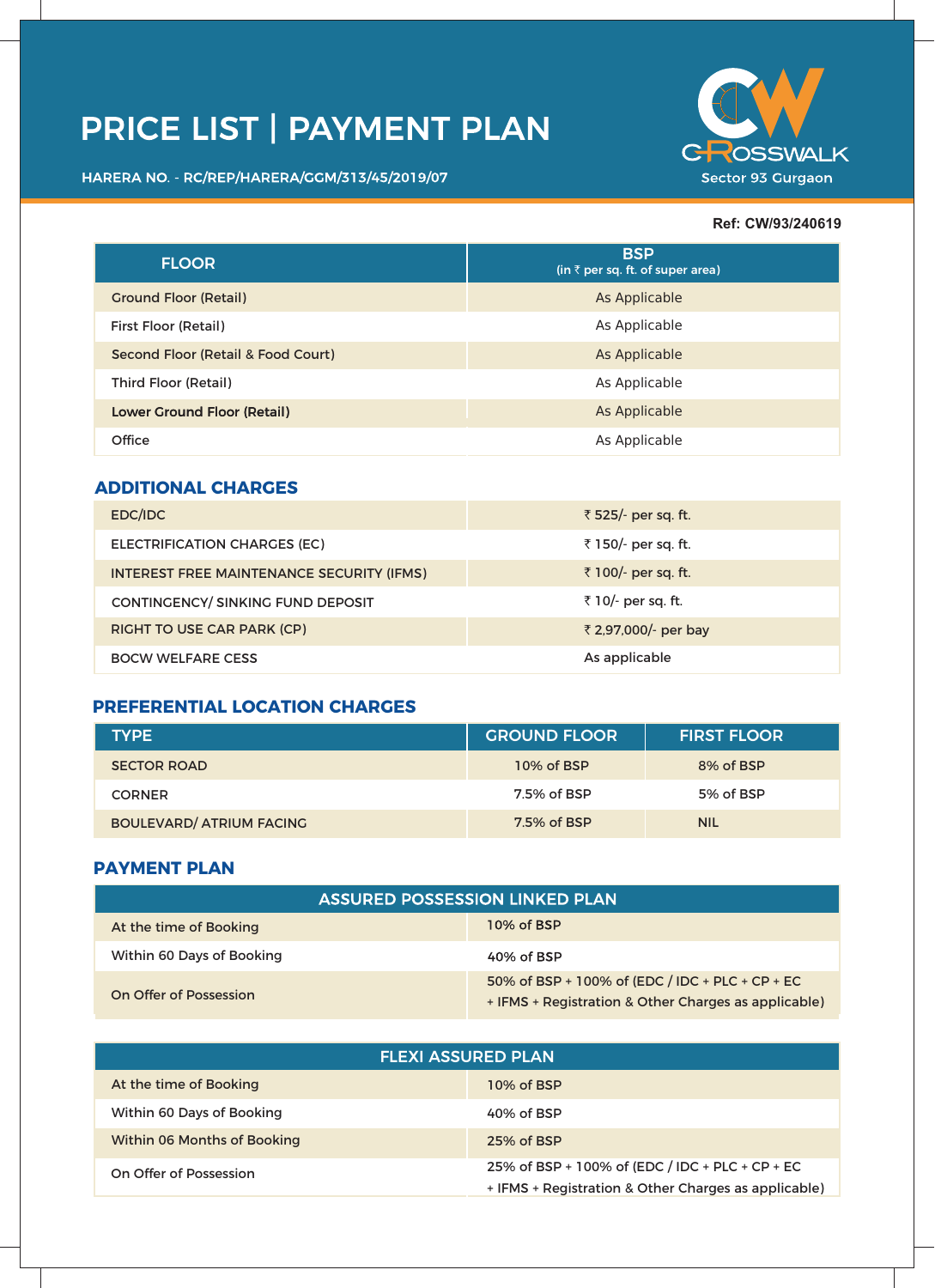# **PRICE LIST | PAYMENT PLAN**

HARERA NO. - RC/REP/HARERA/GGM/313/45/2019/07



#### **Ref: CW/93/240619**

| <b>FLOOR</b>                       | <b>BSP</b><br>$(in \bar{z})$ per sq. ft. of super area) |
|------------------------------------|---------------------------------------------------------|
| <b>Ground Floor (Retail)</b>       | As Applicable                                           |
| <b>First Floor (Retail)</b>        | As Applicable                                           |
| Second Floor (Retail & Food Court) | As Applicable                                           |
| Third Floor (Retail)               | As Applicable                                           |
| <b>Lower Ground Floor (Retail)</b> | As Applicable                                           |
| Office                             | As Applicable                                           |

### **ADDITIONAL CHARGES**

| EDC/IDC                                          | ₹ 525/- per sq. ft.  |
|--------------------------------------------------|----------------------|
| ELECTRIFICATION CHARGES (EC)                     | ₹ 150/- per sq. ft.  |
| <b>INTEREST FREE MAINTENANCE SECURITY (IFMS)</b> | ₹ 100/- per sq. ft.  |
| CONTINGENCY/ SINKING FUND DEPOSIT                | ₹ 10/- per sq. ft.   |
| <b>RIGHT TO USE CAR PARK (CP)</b>                | ₹ 2,97,000/- per bay |
| <b>BOCW WELFARE CESS</b>                         | As applicable        |

## **PREFERENTIAL LOCATION CHARGES**

| <b>TYPE</b>                     | <b>GROUND FLOOR</b> | <b>FIRST FLOOR</b> |
|---------------------------------|---------------------|--------------------|
| <b>SECTOR ROAD</b>              | 10% of BSP          | 8% of BSP          |
| <b>CORNER</b>                   | 7.5% of BSP         | 5% of BSP          |
| <b>BOULEVARD/ ATRIUM FACING</b> | 7.5% of BSP         | <b>NIL</b>         |

#### **PAYMENT PLAN**

| <b>ASSURED POSSESSION LINKED PLAN</b> |                                                                                                         |
|---------------------------------------|---------------------------------------------------------------------------------------------------------|
| At the time of Booking                | 10% of BSP                                                                                              |
| Within 60 Days of Booking             | 40% of BSP                                                                                              |
| On Offer of Possession                | 50% of BSP + 100% of (EDC / IDC + PLC + CP + EC<br>+ IFMS + Registration & Other Charges as applicable) |

| <b>FLEXI ASSURED PLAN</b>          |                                                                                                         |
|------------------------------------|---------------------------------------------------------------------------------------------------------|
| At the time of Booking             | 10% of BSP                                                                                              |
| Within 60 Days of Booking          | 40% of BSP                                                                                              |
| <b>Within 06 Months of Booking</b> | 25% of BSP                                                                                              |
| On Offer of Possession             | 25% of BSP + 100% of (EDC / IDC + PLC + CP + EC<br>+ IFMS + Registration & Other Charges as applicable) |